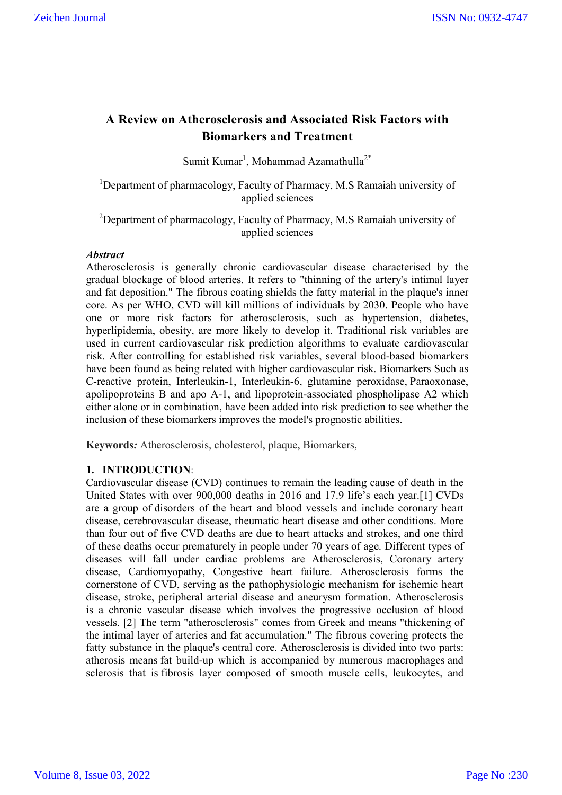# **A Review on Atherosclerosis and Associated Risk Factors with Biomarkers and Treatment**

Sumit Kumar<sup>1</sup>, Mohammad Azamathulla<sup>2\*</sup>

<sup>1</sup>Department of pharmacology, Faculty of Pharmacy, M.S Ramaiah university of applied sciences

<sup>2</sup>Department of pharmacology, Faculty of Pharmacy, M.S Ramaiah university of applied sciences

# *Abstract*

Atherosclerosis is generally chronic cardiovascular disease characterised by the gradual blockage of blood arteries. It refers to "thinning of the artery's intimal layer and fat deposition." The fibrous coating shields the fatty material in the plaque's inner core. As per WHO, CVD will kill millions of individuals by 2030. People who have one or more risk factors for atherosclerosis, such as hypertension, diabetes, hyperlipidemia, obesity, are more likely to develop it. Traditional risk variables are used in current cardiovascular risk prediction algorithms to evaluate cardiovascular risk. After controlling for established risk variables, several blood-based biomarkers have been found as being related with higher cardiovascular risk. Biomarkers Such as C-reactive protein, Interleukin-1, Interleukin-6, glutamine peroxidase, Paraoxonase, apolipoproteins B and apo A-1, and lipoprotein-associated phospholipase A2 which either alone or in combination, have been added into risk prediction to see whether the inclusion of these biomarkers improves the model's prognostic abilities.

**Keywords***:* Atherosclerosis, cholesterol, plaque, Biomarkers,

## **1. INTRODUCTION**:

Cardiovascular disease (CVD) continues to remain the leading cause of death in the United States with over 900,000 deaths in 2016 and 17.9 life's each year.[1] CVDs are a group of disorders of the heart and blood vessels and include coronary heart disease, cerebrovascular disease, rheumatic heart disease and other conditions. More than four out of five CVD deaths are due to heart attacks and strokes, and one third of these deaths occur prematurely in people under 70 years of age. Different types of diseases will fall under cardiac problems are Atherosclerosis, Coronary artery disease, Cardiomyopathy, Congestive heart failure. Atherosclerosis forms the cornerstone of CVD, serving as the pathophysiologic mechanism for ischemic heart disease, stroke, peripheral arterial disease and aneurysm formation. Atherosclerosis is a chronic vascular disease which involves the progressive occlusion of blood vessels. [2] The term "atherosclerosis" comes from Greek and means "thickening of the intimal layer of arteries and fat accumulation." The fibrous covering protects the fatty substance in the plaque's central core. Atherosclerosis is divided into two parts: atherosis means fat build-up which is accompanied by numerous macrophages and sclerosis that is fibrosis layer composed of smooth muscle cells, leukocytes, and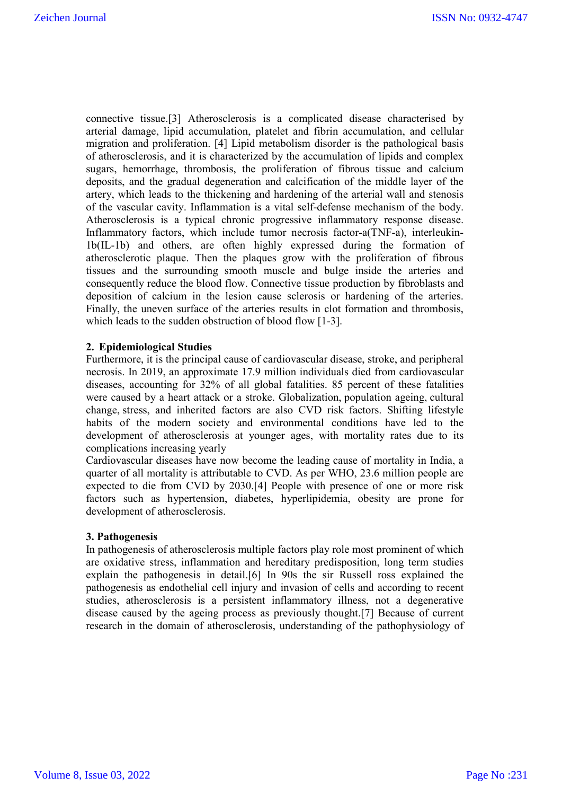connective tissue.[3] Atherosclerosis is a complicated disease characterised by arterial damage, lipid accumulation, platelet and fibrin accumulation, and cellular migration and proliferation. [4] Lipid metabolism disorder is the pathological basis of atherosclerosis, and it is characterized by the accumulation of lipids and complex sugars, hemorrhage, thrombosis, the proliferation of fibrous tissue and calcium deposits, and the gradual degeneration and calcification of the middle layer of the artery, which leads to the thickening and hardening of the arterial wall and stenosis of the vascular cavity. Inflammation is a vital self-defense mechanism of the body. Atherosclerosis is a typical chronic progressive inflammatory response disease. Inflammatory factors, which include tumor necrosis factor-a(TNF-a), interleukin-1b(IL-1b) and others, are often highly expressed during the formation of atherosclerotic plaque. Then the plaques grow with the proliferation of fibrous tissues and the surrounding smooth muscle and bulge inside the arteries and consequently reduce the blood flow. Connective tissue production by fibroblasts and deposition of calcium in the lesion cause sclerosis or hardening of the arteries. Finally, the uneven surface of the arteries results in clot formation and thrombosis, which leads to the sudden obstruction of blood flow [1-3].

# **2. Epidemiological Studies**

Furthermore, it is the principal cause of cardiovascular disease, stroke, and peripheral necrosis. In 2019, an approximate 17.9 million individuals died from cardiovascular diseases, accounting for 32% of all global fatalities. 85 percent of these fatalities were caused by a heart attack or a stroke. Globalization, population ageing, cultural change, stress, and inherited factors are also CVD risk factors. Shifting lifestyle habits of the modern society and environmental conditions have led to the development of atherosclerosis at younger ages, with mortality rates due to its complications increasing yearly

Cardiovascular diseases have now become the leading cause of mortality in India, a quarter of all mortality is attributable to CVD. As per WHO, 23.6 million people are expected to die from CVD by 2030.[4] People with presence of one or more risk factors such as hypertension, diabetes, hyperlipidemia, obesity are prone for development of atherosclerosis.

#### **3. Pathogenesis**

In pathogenesis of atherosclerosis multiple factors play role most prominent of which are oxidative stress, inflammation and hereditary predisposition, long term studies explain the pathogenesis in detail.[6] In 90s the sir Russell ross explained the pathogenesis as endothelial cell injury and invasion of cells and according to recent studies, atherosclerosis is a persistent inflammatory illness, not a degenerative disease caused by the ageing process as previously thought.[7] Because of current research in the domain of atherosclerosis, understanding of the pathophysiology of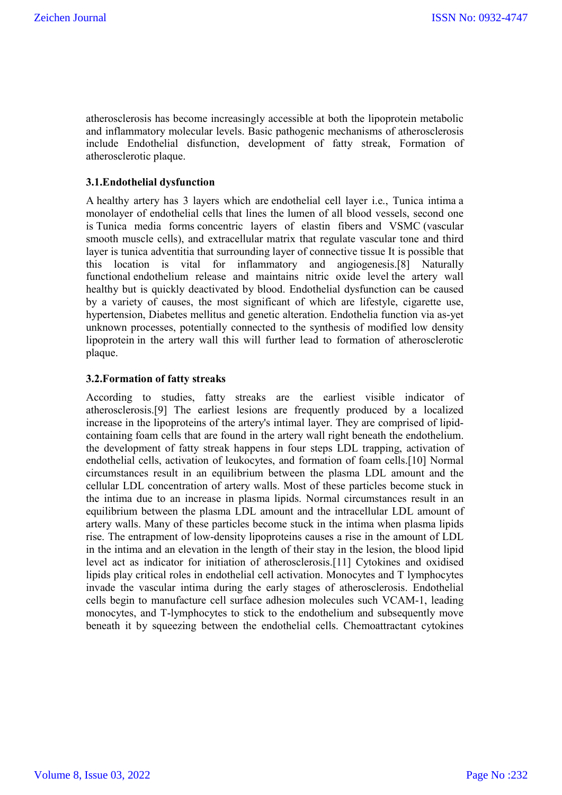atherosclerosis has become increasingly accessible at both the lipoprotein metabolic and inflammatory molecular levels. Basic pathogenic mechanisms of atherosclerosis include Endothelial disfunction, development of fatty streak, Formation of atherosclerotic plaque.

## **3.1.Endothelial dysfunction**

A healthy artery has 3 layers which are endothelial cell layer i.e., Tunica intima a monolayer of endothelial cells that lines the lumen of all blood vessels, second one is Tunica media forms concentric layers of elastin fibers and VSMC (vascular smooth muscle cells), and extracellular matrix that regulate vascular tone and third layer is tunica adventitia that surrounding layer of connective tissue It is possible that this location is vital for inflammatory and angiogenesis.[8] Naturally functional endothelium release and maintains nitric oxide level the artery wall healthy but is quickly deactivated by blood. Endothelial dysfunction can be caused by a variety of causes, the most significant of which are lifestyle, cigarette use, hypertension, Diabetes mellitus and genetic alteration. Endothelia function via as-yet unknown processes, potentially connected to the synthesis of modified low density lipoprotein in the artery wall this will further lead to formation of atherosclerotic plaque.

#### **3.2.Formation of fatty streaks**

According to studies, fatty streaks are the earliest visible indicator of atherosclerosis.[9] The earliest lesions are frequently produced by a localized increase in the lipoproteins of the artery's intimal layer. They are comprised of lipidcontaining foam cells that are found in the artery wall right beneath the endothelium. the development of fatty streak happens in four steps LDL trapping, activation of endothelial cells, activation of leukocytes, and formation of foam cells.[10] Normal circumstances result in an equilibrium between the plasma LDL amount and the cellular LDL concentration of artery walls. Most of these particles become stuck in the intima due to an increase in plasma lipids. Normal circumstances result in an equilibrium between the plasma LDL amount and the intracellular LDL amount of artery walls. Many of these particles become stuck in the intima when plasma lipids rise. The entrapment of low-density lipoproteins causes a rise in the amount of LDL in the intima and an elevation in the length of their stay in the lesion, the blood lipid level act as indicator for initiation of atherosclerosis.[11] Cytokines and oxidised lipids play critical roles in endothelial cell activation. Monocytes and T lymphocytes invade the vascular intima during the early stages of atherosclerosis. Endothelial cells begin to manufacture cell surface adhesion molecules such VCAM-1, leading monocytes, and T-lymphocytes to stick to the endothelium and subsequently move beneath it by squeezing between the endothelial cells. Chemoattractant cytokines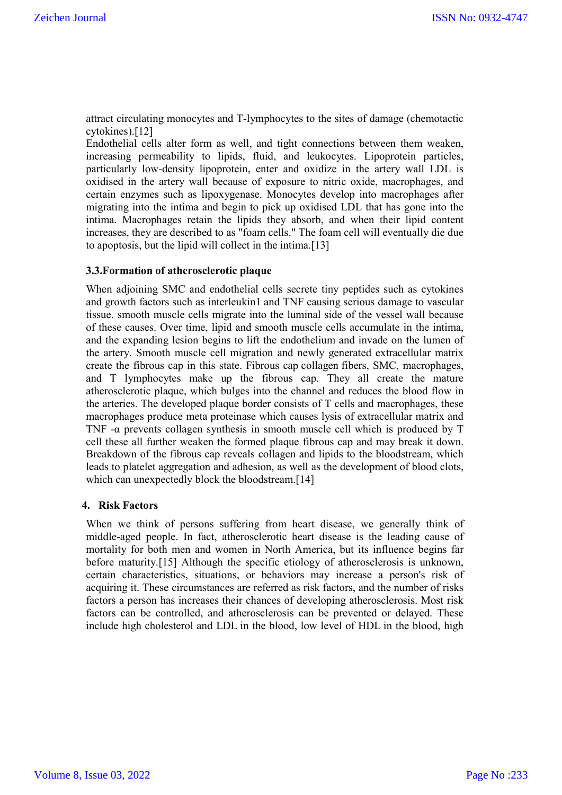attract circulating monocytes and T-lymphocytes to the sites of damage (chemotactic cytokines).[12]

Endothelial cells alter form as well, and tight connections between them weaken, increasing permeability to lipids, fluid, and leukocytes. Lipoprotein particles, particularly low-density lipoprotein, enter and oxidize in the artery wall LDL is oxidised in the artery wall because of exposure to nitric oxide, macrophages, and certain enzymes such as lipoxygenase. Monocytes develop into macrophages after migrating into the intima and begin to pick up oxidised LDL that has gone into the intima. Macrophages retain the lipids they absorb, and when their lipid content increases, they are described to as "foam cells." The foam cell will eventually die due to apoptosis, but the lipid will collect in the intima.[13]

#### **3.3.Formation of atherosclerotic plaque**

When adjoining SMC and endothelial cells secrete tiny peptides such as cytokines and growth factors such as interleukin1 and TNF causing serious damage to vascular tissue. smooth muscle cells migrate into the luminal side of the vessel wall because of these causes. Over time, lipid and smooth muscle cells accumulate in the intima, and the expanding lesion begins to lift the endothelium and invade on the lumen of the artery. Smooth muscle cell migration and newly generated extracellular matrix create the fibrous cap in this state. Fibrous cap collagen fibers, SMC, macrophages, and T lymphocytes make up the fibrous cap. They all create the mature atherosclerotic plaque, which bulges into the channel and reduces the blood flow in the arteries. The developed plaque border consists of T cells and macrophages, these macrophages produce meta proteinase which causes lysis of extracellular matrix and TNF -α prevents collagen synthesis in smooth muscle cell which is produced by T cell these all further weaken the formed plaque fibrous cap and may break it down. Breakdown of the fibrous cap reveals collagen and lipids to the bloodstream, which leads to platelet aggregation and adhesion, as well as the development of blood clots, which can unexpectedly block the bloodstream.[14]

#### **4. Risk Factors**

When we think of persons suffering from heart disease, we generally think of middle-aged people. In fact, atherosclerotic heart disease is the leading cause of mortality for both men and women in North America, but its influence begins far before maturity.[15] Although the specific etiology of atherosclerosis is unknown, certain characteristics, situations, or behaviors may increase a person's risk of acquiring it. These circumstances are referred as risk factors, and the number of risks factors a person has increases their chances of developing atherosclerosis. Most risk factors can be controlled, and atherosclerosis can be prevented or delayed. These include high cholesterol and LDL in the blood, low level of HDL in the blood, high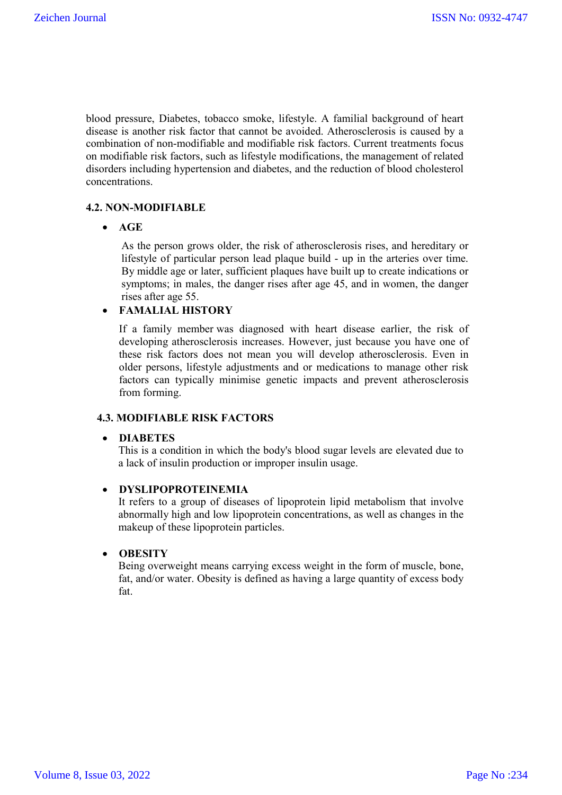blood pressure, Diabetes, tobacco smoke, lifestyle. A familial background of heart disease is another risk factor that cannot be avoided. Atherosclerosis is caused by a combination of non-modifiable and modifiable risk factors. Current treatments focus on modifiable risk factors, such as lifestyle modifications, the management of related disorders including hypertension and diabetes, and the reduction of blood cholesterol concentrations.

# **4.2. NON-MODIFIABLE**

**AGE**

As the person grows older, the risk of atherosclerosis rises, and hereditary or lifestyle of particular person lead plaque build - up in the arteries over time. By middle age or later, sufficient plaques have built up to create indications or symptoms; in males, the danger rises after age 45, and in women, the danger rises after age 55.

# **FAMALIAL HISTORY**

If a family member was diagnosed with heart disease earlier, the risk of developing atherosclerosis increases. However, just because you have one of these risk factors does not mean you will develop atherosclerosis. Even in older persons, lifestyle adjustments and or medications to manage other risk factors can typically minimise genetic impacts and prevent atherosclerosis from forming.

# **4.3. MODIFIABLE RISK FACTORS**

# **DIABETES**

This is a condition in which the body's blood sugar levels are elevated due to a lack of insulin production or improper insulin usage.

# **DYSLIPOPROTEINEMIA**

It refers to a group of diseases of lipoprotein lipid metabolism that involve abnormally high and low lipoprotein concentrations, as well as changes in the makeup of these lipoprotein particles.

# **OBESITY**

Being overweight means carrying excess weight in the form of muscle, bone, fat, and/or water. Obesity is defined as having a large quantity of excess body fat.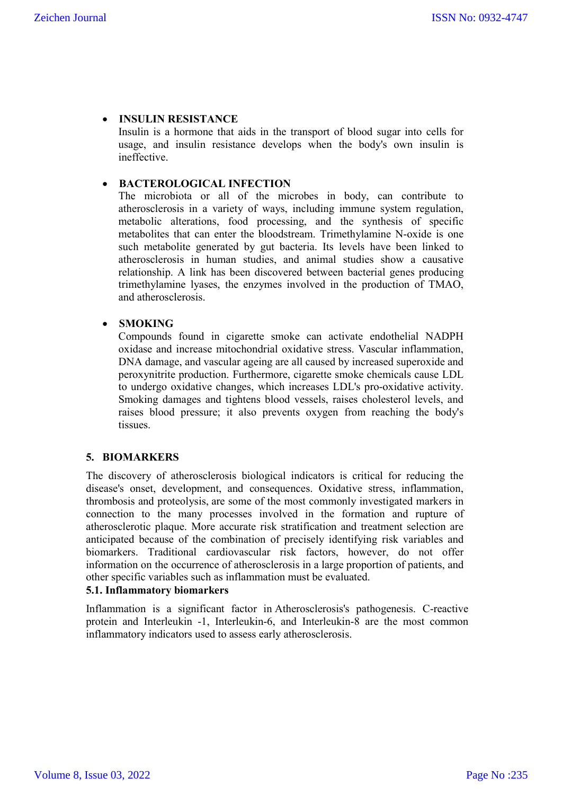# **INSULIN RESISTANCE**

Insulin is a hormone that aids in the transport of blood sugar into cells for usage, and insulin resistance develops when the body's own insulin is ineffective.

# **BACTEROLOGICAL INFECTION**

The microbiota or all of the microbes in body, can contribute to atherosclerosis in a variety of ways, including immune system regulation, metabolic alterations, food processing, and the synthesis of specific metabolites that can enter the bloodstream. Trimethylamine N-oxide is one such metabolite generated by gut bacteria. Its levels have been linked to atherosclerosis in human studies, and animal studies show a causative relationship. A link has been discovered between bacterial genes producing trimethylamine lyases, the enzymes involved in the production of TMAO, and atherosclerosis.

# **SMOKING**

Compounds found in cigarette smoke can activate endothelial NADPH oxidase and increase mitochondrial oxidative stress. Vascular inflammation, DNA damage, and vascular ageing are all caused by increased superoxide and peroxynitrite production. Furthermore, cigarette smoke chemicals cause LDL to undergo oxidative changes, which increases LDL's pro-oxidative activity. Smoking damages and tightens blood vessels, raises cholesterol levels, and raises blood pressure; it also prevents oxygen from reaching the body's tissues.

#### **5. BIOMARKERS**

The discovery of atherosclerosis biological indicators is critical for reducing the disease's onset, development, and consequences. Oxidative stress, inflammation, thrombosis and proteolysis, are some of the most commonly investigated markers in connection to the many processes involved in the formation and rupture of atherosclerotic plaque. More accurate risk stratification and treatment selection are anticipated because of the combination of precisely identifying risk variables and biomarkers. Traditional cardiovascular risk factors, however, do not offer information on the occurrence of atherosclerosis in a large proportion of patients, and other specific variables such as inflammation must be evaluated.

## **5.1. Inflammatory biomarkers**

Inflammation is a significant factor in Atherosclerosis's pathogenesis. C-reactive protein and Interleukin -1, Interleukin-6, and Interleukin-8 are the most common inflammatory indicators used to assess early atherosclerosis.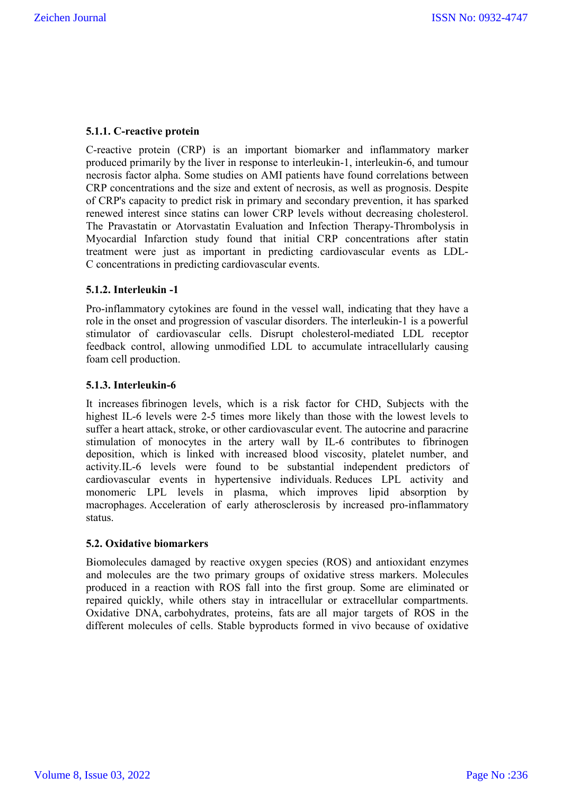# **5.1.1. C-reactive protein**

C-reactive protein (CRP) is an important biomarker and inflammatory marker produced primarily by the liver in response to interleukin-1, interleukin-6, and tumour necrosis factor alpha. Some studies on AMI patients have found correlations between CRP concentrations and the size and extent of necrosis, as well as prognosis. Despite of CRP's capacity to predict risk in primary and secondary prevention, it has sparked renewed interest since statins can lower CRP levels without decreasing cholesterol. The Pravastatin or Atorvastatin Evaluation and Infection Therapy-Thrombolysis in Myocardial Infarction study found that initial CRP concentrations after statin treatment were just as important in predicting cardiovascular events as LDL-C concentrations in predicting cardiovascular events.

# **5.1.2. Interleukin -1**

Pro-inflammatory cytokines are found in the vessel wall, indicating that they have a role in the onset and progression of vascular disorders. The interleukin-1 is a powerful stimulator of cardiovascular cells. Disrupt cholesterol-mediated LDL receptor feedback control, allowing unmodified LDL to accumulate intracellularly causing foam cell production.

#### **5.1.3. Interleukin-6**

It increases fibrinogen levels, which is a risk factor for CHD, Subjects with the highest IL-6 levels were 2-5 times more likely than those with the lowest levels to suffer a heart attack, stroke, or other cardiovascular event. The autocrine and paracrine stimulation of monocytes in the artery wall by IL-6 contributes to fibrinogen deposition, which is linked with increased blood viscosity, platelet number, and activity.IL-6 levels were found to be substantial independent predictors of cardiovascular events in hypertensive individuals. Reduces LPL activity and monomeric LPL levels in plasma, which improves lipid absorption by macrophages. Acceleration of early atherosclerosis by increased pro-inflammatory status.

#### **5.2. Oxidative biomarkers**

Biomolecules damaged by reactive oxygen species (ROS) and antioxidant enzymes and molecules are the two primary groups of oxidative stress markers. Molecules produced in a reaction with ROS fall into the first group. Some are eliminated or repaired quickly, while others stay in intracellular or extracellular compartments. Oxidative DNA, carbohydrates, proteins, fats are all major targets of ROS in the different molecules of cells. Stable byproducts formed in vivo because of oxidative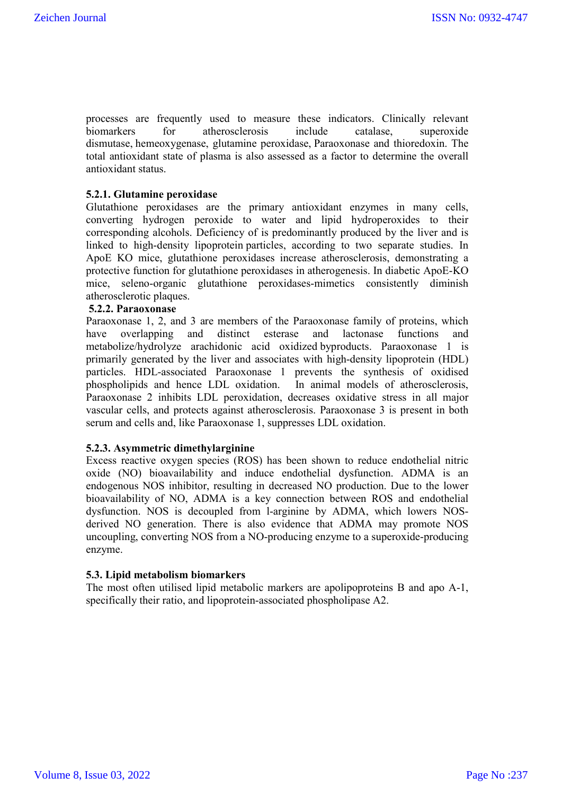processes are frequently used to measure these indicators. Clinically relevant biomarkers for atherosclerosis include catalase, superoxide dismutase, hemeoxygenase, glutamine peroxidase, Paraoxonase and thioredoxin. The total antioxidant state of plasma is also assessed as a factor to determine the overall antioxidant status.

# **5.2.1. Glutamine peroxidase**

Glutathione peroxidases are the primary antioxidant enzymes in many cells, converting hydrogen peroxide to water and lipid hydroperoxides to their corresponding alcohols. Deficiency of is predominantly produced by the liver and is linked to high-density lipoprotein particles, according to two separate studies. In ApoE KO mice, glutathione peroxidases increase atherosclerosis, demonstrating a protective function for glutathione peroxidases in atherogenesis. In diabetic ApoE-KO mice, seleno-organic glutathione peroxidases-mimetics consistently diminish atherosclerotic plaques.

# **5.2.2. Paraoxonase**

Paraoxonase 1, 2, and 3 are members of the Paraoxonase family of proteins, which have overlapping and distinct esterase and lactonase functions and metabolize/hydrolyze arachidonic acid oxidized byproducts. Paraoxonase 1 is primarily generated by the liver and associates with high-density lipoprotein (HDL) particles. HDL-associated Paraoxonase 1 prevents the synthesis of oxidised phospholipids and hence LDL oxidation. In animal models of atherosclerosis, Paraoxonase 2 inhibits LDL peroxidation, decreases oxidative stress in all major vascular cells, and protects against atherosclerosis. Paraoxonase 3 is present in both serum and cells and, like Paraoxonase 1, suppresses LDL oxidation.

#### **5.2.3. Asymmetric dimethylarginine**

Excess reactive oxygen species (ROS) has been shown to reduce endothelial nitric oxide (NO) bioavailability and induce endothelial dysfunction. ADMA is an endogenous NOS inhibitor, resulting in decreased NO production. Due to the lower bioavailability of NO, ADMA is a key connection between ROS and endothelial dysfunction. NOS is decoupled from l-arginine by ADMA, which lowers NOSderived NO generation. There is also evidence that ADMA may promote NOS uncoupling, converting NOS from a NO-producing enzyme to a superoxide-producing enzyme.

#### **5.3. Lipid metabolism biomarkers**

The most often utilised lipid metabolic markers are apolipoproteins B and apo A-1, specifically their ratio, and lipoprotein-associated phospholipase A2.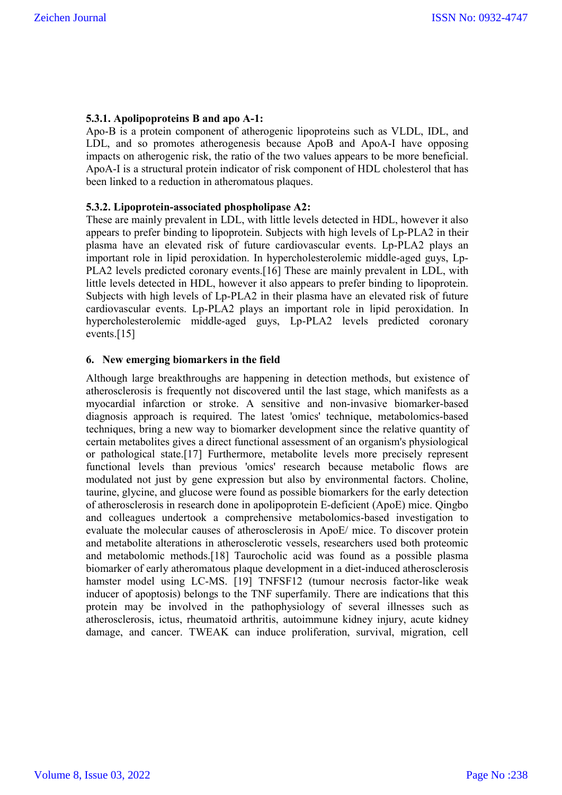# **5.3.1. Apolipoproteins B and apo A-1:**

Apo-B is a protein component of atherogenic lipoproteins such as VLDL, IDL, and LDL, and so promotes atherogenesis because ApoB and ApoA-I have opposing impacts on atherogenic risk, the ratio of the two values appears to be more beneficial. ApoA-I is a structural protein indicator of risk component of HDL cholesterol that has been linked to a reduction in atheromatous plaques.

# **5.3.2. Lipoprotein-associated phospholipase A2:**

These are mainly prevalent in LDL, with little levels detected in HDL, however it also appears to prefer binding to lipoprotein. Subjects with high levels of Lp-PLA2 in their plasma have an elevated risk of future cardiovascular events. Lp-PLA2 plays an important role in lipid peroxidation. In hypercholesterolemic middle-aged guys, Lp-PLA2 levels predicted coronary events.[16] These are mainly prevalent in LDL, with little levels detected in HDL, however it also appears to prefer binding to lipoprotein. Subjects with high levels of Lp-PLA2 in their plasma have an elevated risk of future cardiovascular events. Lp-PLA2 plays an important role in lipid peroxidation. In hypercholesterolemic middle-aged guys, Lp-PLA2 levels predicted coronary events.[15]

# **6. New emerging biomarkers in the field**

Although large breakthroughs are happening in detection methods, but existence of atherosclerosis is frequently not discovered until the last stage, which manifests as a myocardial infarction or stroke. A sensitive and non-invasive biomarker-based diagnosis approach is required. The latest 'omics' technique, metabolomics-based techniques, bring a new way to biomarker development since the relative quantity of certain metabolites gives a direct functional assessment of an organism's physiological or pathological state.[17] Furthermore, metabolite levels more precisely represent functional levels than previous 'omics' research because metabolic flows are modulated not just by gene expression but also by environmental factors. Choline, taurine, glycine, and glucose were found as possible biomarkers for the early detection of atherosclerosis in research done in apolipoprotein E-deficient (ApoE) mice. Qingbo and colleagues undertook a comprehensive metabolomics-based investigation to evaluate the molecular causes of atherosclerosis in ApoE/ mice. To discover protein and metabolite alterations in atherosclerotic vessels, researchers used both proteomic and metabolomic methods.[18] Taurocholic acid was found as a possible plasma biomarker of early atheromatous plaque development in a diet-induced atherosclerosis hamster model using LC-MS. [19] TNFSF12 (tumour necrosis factor-like weak inducer of apoptosis) belongs to the TNF superfamily. There are indications that this protein may be involved in the pathophysiology of several illnesses such as atherosclerosis, ictus, rheumatoid arthritis, autoimmune kidney injury, acute kidney damage, and cancer. TWEAK can induce proliferation, survival, migration, cell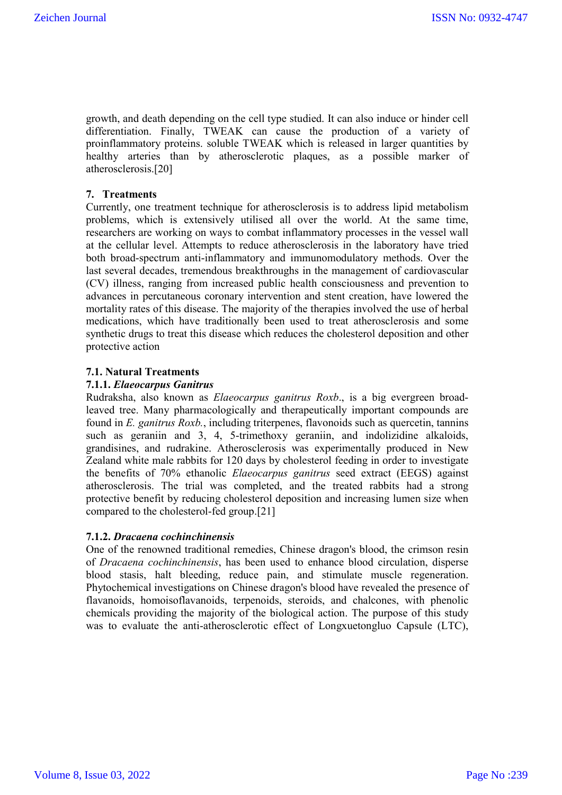growth, and death depending on the cell type studied. It can also induce or hinder cell differentiation. Finally, TWEAK can cause the production of a variety of proinflammatory proteins. soluble TWEAK which is released in larger quantities by healthy arteries than by atherosclerotic plaques, as a possible marker of atherosclerosis.[20]

# **7. Treatments**

Currently, one treatment technique for atherosclerosis is to address lipid metabolism problems, which is extensively utilised all over the world. At the same time, researchers are working on ways to combat inflammatory processes in the vessel wall at the cellular level. Attempts to reduce atherosclerosis in the laboratory have tried both broad-spectrum anti-inflammatory and immunomodulatory methods. Over the last several decades, tremendous breakthroughs in the management of cardiovascular (CV) illness, ranging from increased public health consciousness and prevention to advances in percutaneous coronary intervention and stent creation, have lowered the mortality rates of this disease. The majority of the therapies involved the use of herbal medications, which have traditionally been used to treat atherosclerosis and some synthetic drugs to treat this disease which reduces the cholesterol deposition and other protective action

# **7.1. Natural Treatments**

#### **7.1.1.** *Elaeocarpus Ganitrus*

Rudraksha, also known as *Elaeocarpus ganitrus Roxb*., is a big evergreen broadleaved tree. Many pharmacologically and therapeutically important compounds are found in *E. ganitrus Roxb.*, including triterpenes, flavonoids such as quercetin, tannins such as geraniin and 3, 4, 5-trimethoxy geraniin, and indolizidine alkaloids, grandisines, and rudrakine. Atherosclerosis was experimentally produced in New Zealand white male rabbits for 120 days by cholesterol feeding in order to investigate the benefits of 70% ethanolic *Elaeocarpus ganitrus* seed extract (EEGS) against atherosclerosis. The trial was completed, and the treated rabbits had a strong protective benefit by reducing cholesterol deposition and increasing lumen size when compared to the cholesterol-fed group.[21]

# **7.1.2.** *Dracaena cochinchinensis*

One of the renowned traditional remedies, Chinese dragon's blood, the crimson resin of *Dracaena cochinchinensis*, has been used to enhance blood circulation, disperse blood stasis, halt bleeding, reduce pain, and stimulate muscle regeneration. Phytochemical investigations on Chinese dragon's blood have revealed the presence of flavanoids, homoisoflavanoids, terpenoids, steroids, and chalcones, with phenolic chemicals providing the majority of the biological action. The purpose of this study was to evaluate the anti-atherosclerotic effect of Longxuetongluo Capsule (LTC),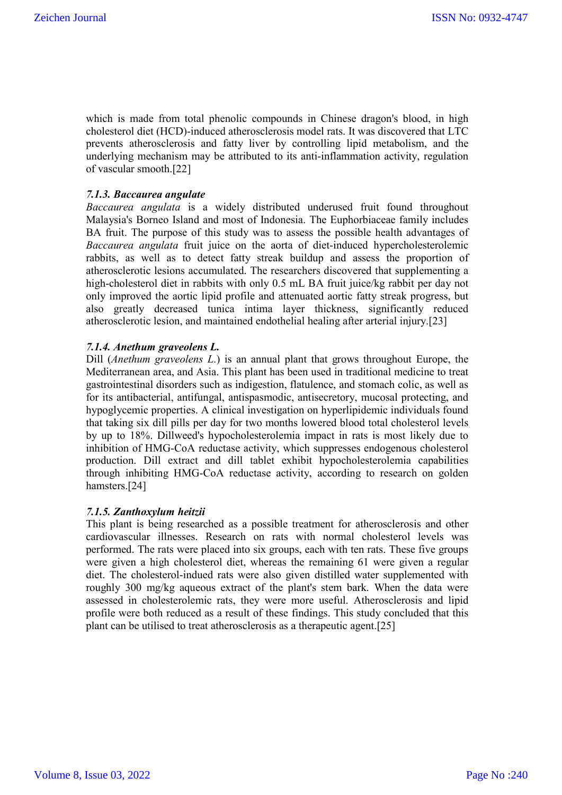which is made from total phenolic compounds in Chinese dragon's blood, in high cholesterol diet (HCD)-induced atherosclerosis model rats. It was discovered that LTC prevents atherosclerosis and fatty liver by controlling lipid metabolism, and the underlying mechanism may be attributed to its anti-inflammation activity, regulation of vascular smooth.[22]

# *7.1.3. Baccaurea angulate*

*Baccaurea angulata* is a widely distributed underused fruit found throughout Malaysia's Borneo Island and most of Indonesia. The Euphorbiaceae family includes BA fruit. The purpose of this study was to assess the possible health advantages of *Baccaurea angulata* fruit juice on the aorta of diet-induced hypercholesterolemic rabbits, as well as to detect fatty streak buildup and assess the proportion of atherosclerotic lesions accumulated. The researchers discovered that supplementing a high-cholesterol diet in rabbits with only 0.5 mL BA fruit juice/kg rabbit per day not only improved the aortic lipid profile and attenuated aortic fatty streak progress, but also greatly decreased tunica intima layer thickness, significantly reduced atherosclerotic lesion, and maintained endothelial healing after arterial injury.[23]

# *7.1.4. Anethum graveolens L.*

Dill (*Anethum graveolens L*.) is an annual plant that grows throughout Europe, the Mediterranean area, and Asia. This plant has been used in traditional medicine to treat gastrointestinal disorders such as indigestion, flatulence, and stomach colic, as well as for its antibacterial, antifungal, antispasmodic, antisecretory, mucosal protecting, and hypoglycemic properties. A clinical investigation on hyperlipidemic individuals found that taking six dill pills per day for two months lowered blood total cholesterol levels by up to 18%. Dillweed's hypocholesterolemia impact in rats is most likely due to inhibition of HMG-CoA reductase activity, which suppresses endogenous cholesterol production. Dill extract and dill tablet exhibit hypocholesterolemia capabilities through inhibiting HMG-CoA reductase activity, according to research on golden hamsters.[24]

#### *7.1.5. Zanthoxylum heitzii*

This plant is being researched as a possible treatment for atherosclerosis and other cardiovascular illnesses. Research on rats with normal cholesterol levels was performed. The rats were placed into six groups, each with ten rats. These five groups were given a high cholesterol diet, whereas the remaining 61 were given a regular diet. The cholesterol-indued rats were also given distilled water supplemented with roughly 300 mg/kg aqueous extract of the plant's stem bark. When the data were assessed in cholesterolemic rats, they were more useful. Atherosclerosis and lipid profile were both reduced as a result of these findings. This study concluded that this plant can be utilised to treat atherosclerosis as a therapeutic agent.[25]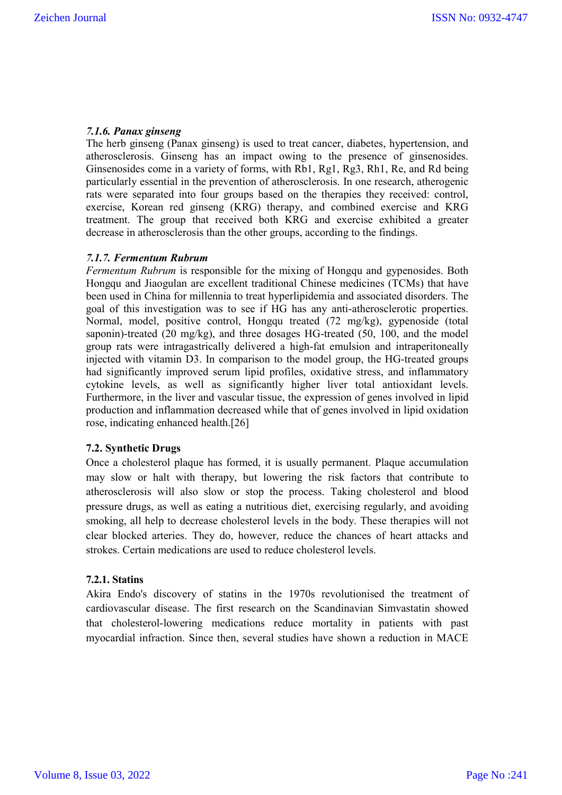# *7.1.6. Panax ginseng*

The herb ginseng (Panax ginseng) is used to treat cancer, diabetes, hypertension, and atherosclerosis. Ginseng has an impact owing to the presence of ginsenosides. Ginsenosides come in a variety of forms, with Rb1, Rg1, Rg3, Rh1, Re, and Rd being particularly essential in the prevention of atherosclerosis. In one research, atherogenic rats were separated into four groups based on the therapies they received: control, exercise, Korean red ginseng (KRG) therapy, and combined exercise and KRG treatment. The group that received both KRG and exercise exhibited a greater decrease in atherosclerosis than the other groups, according to the findings.

#### *7.1.7. Fermentum Rubrum*

*Fermentum Rubrum* is responsible for the mixing of Hongqu and gypenosides. Both Hongqu and Jiaogulan are excellent traditional Chinese medicines (TCMs) that have been used in China for millennia to treat hyperlipidemia and associated disorders. The goal of this investigation was to see if HG has any anti-atherosclerotic properties. Normal, model, positive control, Hongqu treated (72 mg/kg), gypenoside (total saponin)-treated (20 mg/kg), and three dosages HG-treated (50, 100, and the model group rats were intragastrically delivered a high-fat emulsion and intraperitoneally injected with vitamin D3. In comparison to the model group, the HG-treated groups had significantly improved serum lipid profiles, oxidative stress, and inflammatory cytokine levels, as well as significantly higher liver total antioxidant levels. Furthermore, in the liver and vascular tissue, the expression of genes involved in lipid production and inflammation decreased while that of genes involved in lipid oxidation rose, indicating enhanced health.[26]

# **7.2. Synthetic Drugs**

Once a cholesterol plaque has formed, it is usually permanent. Plaque accumulation may slow or halt with therapy, but lowering the risk factors that contribute to atherosclerosis will also slow or stop the process. Taking cholesterol and blood pressure drugs, as well as eating a nutritious diet, exercising regularly, and avoiding smoking, all help to decrease cholesterol levels in the body. These therapies will not clear blocked arteries. They do, however, reduce the chances of heart attacks and strokes. Certain medications are used to reduce cholesterol levels.

#### **7.2.1. Statins**

Akira Endo's discovery of statins in the 1970s revolutionised the treatment of cardiovascular disease. The first research on the Scandinavian Simvastatin showed that cholesterol-lowering medications reduce mortality in patients with past myocardial infraction. Since then, several studies have shown a reduction in MACE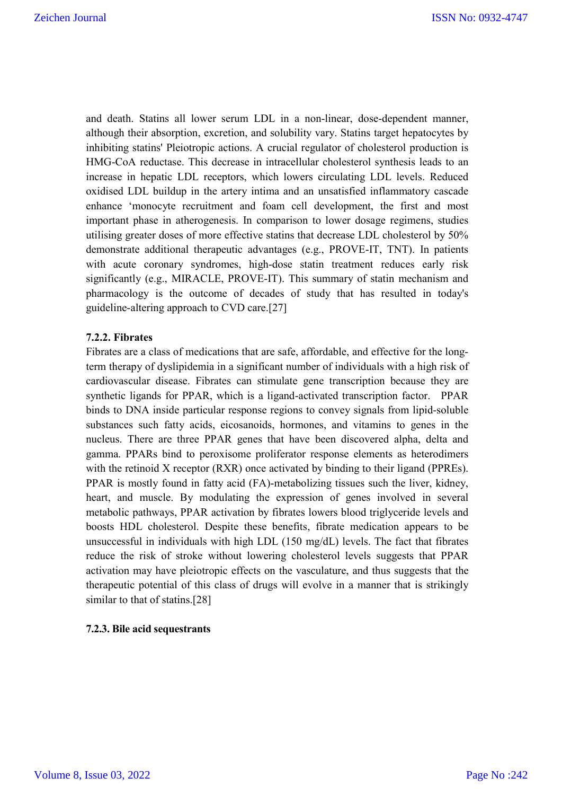and death. Statins all lower serum LDL in a non-linear, dose-dependent manner, although their absorption, excretion, and solubility vary. Statins target hepatocytes by inhibiting statins' Pleiotropic actions. A crucial regulator of cholesterol production is HMG-CoA reductase. This decrease in intracellular cholesterol synthesis leads to an increase in hepatic LDL receptors, which lowers circulating LDL levels. Reduced oxidised LDL buildup in the artery intima and an unsatisfied inflammatory cascade enhance 'monocyte recruitment and foam cell development, the first and most important phase in atherogenesis. In comparison to lower dosage regimens, studies utilising greater doses of more effective statins that decrease LDL cholesterol by 50% demonstrate additional therapeutic advantages (e.g., PROVE-IT, TNT). In patients with acute coronary syndromes, high-dose statin treatment reduces early risk significantly (e.g., MIRACLE, PROVE-IT). This summary of statin mechanism and pharmacology is the outcome of decades of study that has resulted in today's guideline-altering approach to CVD care.[27]

# **7.2.2. Fibrates**

Fibrates are a class of medications that are safe, affordable, and effective for the longterm therapy of dyslipidemia in a significant number of individuals with a high risk of cardiovascular disease. Fibrates can stimulate gene transcription because they are synthetic ligands for PPAR, which is a ligand-activated transcription factor. PPAR binds to DNA inside particular response regions to convey signals from lipid-soluble substances such fatty acids, eicosanoids, hormones, and vitamins to genes in the nucleus. There are three PPAR genes that have been discovered alpha, delta and gamma. PPARs bind to peroxisome proliferator response elements as heterodimers with the retinoid X receptor (RXR) once activated by binding to their ligand (PPREs). PPAR is mostly found in fatty acid (FA)-metabolizing tissues such the liver, kidney, heart, and muscle. By modulating the expression of genes involved in several metabolic pathways, PPAR activation by fibrates lowers blood triglyceride levels and boosts HDL cholesterol. Despite these benefits, fibrate medication appears to be unsuccessful in individuals with high LDL (150 mg/dL) levels. The fact that fibrates reduce the risk of stroke without lowering cholesterol levels suggests that PPAR activation may have pleiotropic effects on the vasculature, and thus suggests that the therapeutic potential of this class of drugs will evolve in a manner that is strikingly similar to that of statins.[28]

#### **7.2.3. Bile acid sequestrants**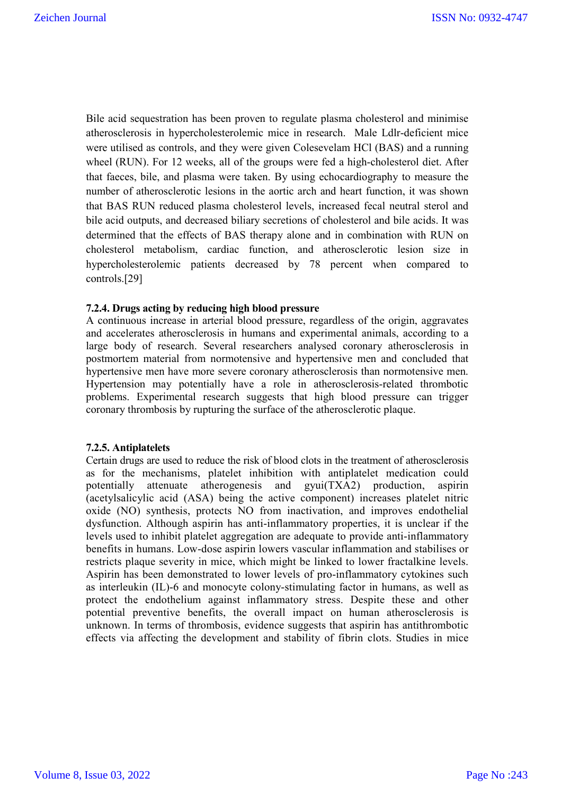Bile acid sequestration has been proven to regulate plasma cholesterol and minimise atherosclerosis in hypercholesterolemic mice in research. Male Ldlr-deficient mice were utilised as controls, and they were given Colesevelam HCl (BAS) and a running wheel (RUN). For 12 weeks, all of the groups were fed a high-cholesterol diet. After that faeces, bile, and plasma were taken. By using echocardiography to measure the number of atherosclerotic lesions in the aortic arch and heart function, it was shown that BAS RUN reduced plasma cholesterol levels, increased fecal neutral sterol and bile acid outputs, and decreased biliary secretions of cholesterol and bile acids. It was determined that the effects of BAS therapy alone and in combination with RUN on cholesterol metabolism, cardiac function, and atherosclerotic lesion size in hypercholesterolemic patients decreased by 78 percent when compared to controls.[29]

# **7.2.4. Drugs acting by reducing high blood pressure**

A continuous increase in arterial blood pressure, regardless of the origin, aggravates and accelerates atherosclerosis in humans and experimental animals, according to a large body of research. Several researchers analysed coronary atherosclerosis in postmortem material from normotensive and hypertensive men and concluded that hypertensive men have more severe coronary atherosclerosis than normotensive men. Hypertension may potentially have a role in atherosclerosis-related thrombotic problems. Experimental research suggests that high blood pressure can trigger coronary thrombosis by rupturing the surface of the atherosclerotic plaque.

#### **7.2.5. Antiplatelets**

Certain drugs are used to reduce the risk of blood clots in the treatment of atherosclerosis as for the mechanisms, platelet inhibition with antiplatelet medication could potentially attenuate atherogenesis and gyui(TXA2) production, aspirin (acetylsalicylic acid (ASA) being the active component) increases platelet nitric oxide (NO) synthesis, protects NO from inactivation, and improves endothelial dysfunction. Although aspirin has anti-inflammatory properties, it is unclear if the levels used to inhibit platelet aggregation are adequate to provide anti-inflammatory benefits in humans. Low-dose aspirin lowers vascular inflammation and stabilises or restricts plaque severity in mice, which might be linked to lower fractalkine levels. Aspirin has been demonstrated to lower levels of pro-inflammatory cytokines such as interleukin (IL)-6 and monocyte colony-stimulating factor in humans, as well as protect the endothelium against inflammatory stress. Despite these and other potential preventive benefits, the overall impact on human atherosclerosis is unknown. In terms of thrombosis, evidence suggests that aspirin has antithrombotic effects via affecting the development and stability of fibrin clots. Studies in mice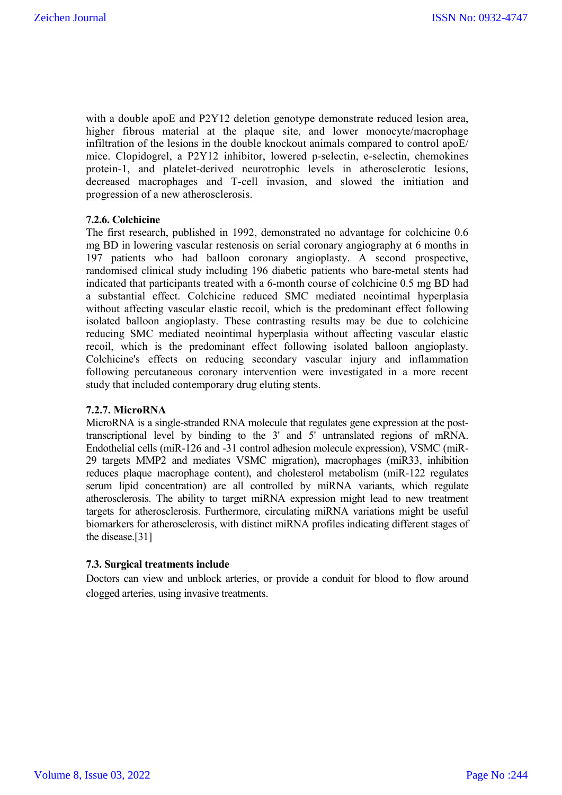with a double apoE and P2Y12 deletion genotype demonstrate reduced lesion area, higher fibrous material at the plaque site, and lower monocyte/macrophage infiltration of the lesions in the double knockout animals compared to control apoE/ mice. Clopidogrel, a P2Y12 inhibitor, lowered p-selectin, e-selectin, chemokines protein-1, and platelet-derived neurotrophic levels in atherosclerotic lesions, decreased macrophages and T-cell invasion, and slowed the initiation and progression of a new atherosclerosis.

# **7.2.6. Colchicine**

The first research, published in 1992, demonstrated no advantage for colchicine 0.6 mg BD in lowering vascular restenosis on serial coronary angiography at 6 months in 197 patients who had balloon coronary angioplasty. A second prospective, randomised clinical study including 196 diabetic patients who bare-metal stents had indicated that participants treated with a 6-month course of colchicine 0.5 mg BD had a substantial effect. Colchicine reduced SMC mediated neointimal hyperplasia without affecting vascular elastic recoil, which is the predominant effect following isolated balloon angioplasty. These contrasting results may be due to colchicine reducing SMC mediated neointimal hyperplasia without affecting vascular elastic recoil, which is the predominant effect following isolated balloon angioplasty. Colchicine's effects on reducing secondary vascular injury and inflammation following percutaneous coronary intervention were investigated in a more recent study that included contemporary drug eluting stents.

#### **7.2.7. MicroRNA**

MicroRNA is a single-stranded RNA molecule that regulates gene expression at the posttranscriptional level by binding to the 3' and 5' untranslated regions of mRNA. Endothelial cells (miR-126 and -31 control adhesion molecule expression), VSMC (miR-29 targets MMP2 and mediates VSMC migration), macrophages (miR33, inhibition reduces plaque macrophage content), and cholesterol metabolism (miR-122 regulates serum lipid concentration) are all controlled by miRNA variants, which regulate atherosclerosis. The ability to target miRNA expression might lead to new treatment targets for atherosclerosis. Furthermore, circulating miRNA variations might be useful biomarkers for atherosclerosis, with distinct miRNA profiles indicating different stages of the disease.[31]

#### **7.3. Surgical treatments include**

Doctors can view and unblock arteries, or provide a conduit for blood to flow around clogged arteries, using invasive treatments.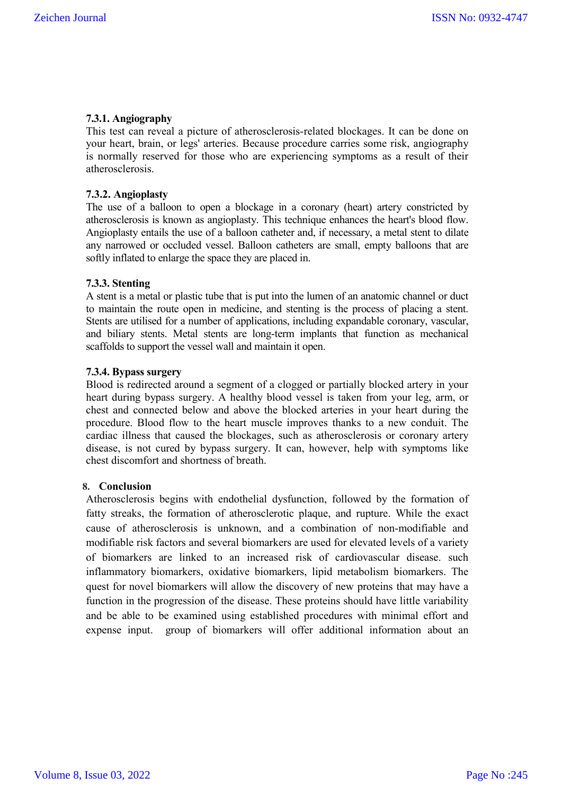# **7.3.1. Angiography**

This test can reveal a picture of atherosclerosis-related blockages. It can be done on your heart, brain, or legs' arteries. Because procedure carries some risk, angiography is normally reserved for those who are experiencing symptoms as a result of their atherosclerosis.

# **7.3.2. Angioplasty**

The use of a balloon to open a blockage in a coronary (heart) artery constricted by atherosclerosis is known as angioplasty. This technique enhances the heart's blood flow. Angioplasty entails the use of a balloon catheter and, if necessary, a metal stent to dilate any narrowed or occluded vessel. Balloon catheters are small, empty balloons that are softly inflated to enlarge the space they are placed in.

# **7.3.3. Stenting**

A stent is a metal or plastic tube that is put into the lumen of an anatomic channel or duct to maintain the route open in medicine, and stenting is the process of placing a stent. Stents are utilised for a number of applications, including expandable coronary, vascular, and biliary stents. Metal stents are long-term implants that function as mechanical scaffolds to support the vessel wall and maintain it open.

# **7.3.4. Bypass surgery**

Blood is redirected around a segment of a clogged or partially blocked artery in your heart during bypass surgery. A healthy blood vessel is taken from your leg, arm, or chest and connected below and above the blocked arteries in your heart during the procedure. Blood flow to the heart muscle improves thanks to a new conduit. The cardiac illness that caused the blockages, such as atherosclerosis or coronary artery disease, is not cured by bypass surgery. It can, however, help with symptoms like chest discomfort and shortness of breath.

#### **8. Conclusion**

Atherosclerosis begins with endothelial dysfunction, followed by the formation of fatty streaks, the formation of atherosclerotic plaque, and rupture. While the exact cause of atherosclerosis is unknown, and a combination of non-modifiable and modifiable risk factors and several biomarkers are used for elevated levels of a variety of biomarkers are linked to an increased risk of cardiovascular disease. such inflammatory biomarkers, oxidative biomarkers, lipid metabolism biomarkers. The quest for novel biomarkers will allow the discovery of new proteins that may have a function in the progression of the disease. These proteins should have little variability and be able to be examined using established procedures with minimal effort and expense input. group of biomarkers will offer additional information about an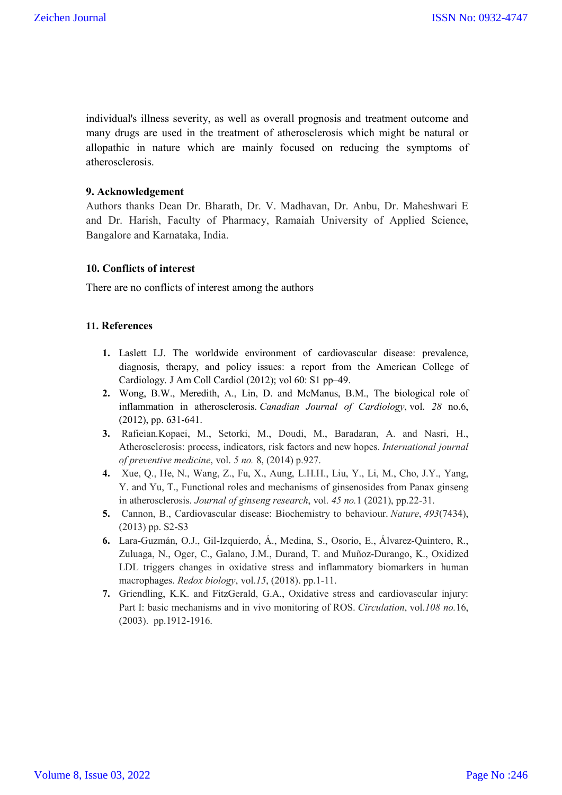individual's illness severity, as well as overall prognosis and treatment outcome and many drugs are used in the treatment of atherosclerosis which might be natural or allopathic in nature which are mainly focused on reducing the symptoms of atherosclerosis.

#### **9. Acknowledgement**

Authors thanks Dean Dr. Bharath, Dr. V. Madhavan, Dr. Anbu, Dr. Maheshwari E and Dr. Harish, Faculty of Pharmacy, Ramaiah University of Applied Science, Bangalore and Karnataka, India.

# **10. Conflicts of interest**

There are no conflicts of interest among the authors

# **11. References**

- **1.** Laslett LJ. The worldwide environment of cardiovascular disease: prevalence, diagnosis, therapy, and policy issues: a report from the American College of Cardiology. J Am Coll Cardiol (2012); vol 60: S1 pp–49.
- **2.** Wong, B.W., Meredith, A., Lin, D. and McManus, B.M., The biological role of inflammation in atherosclerosis. *Canadian Journal of Cardiology*, vol. *28* no.6, (2012), pp. 631-641.
- **3.** Rafieian.Kopaei, M., Setorki, M., Doudi, M., Baradaran, A. and Nasri, H., Atherosclerosis: process, indicators, risk factors and new hopes. *International journal of preventive medicine*, vol. *5 no.* 8, (2014) p.927.
- **4.** Xue, Q., He, N., Wang, Z., Fu, X., Aung, L.H.H., Liu, Y., Li, M., Cho, J.Y., Yang, Y. and Yu, T., Functional roles and mechanisms of ginsenosides from Panax ginseng in atherosclerosis. *Journal of ginseng research*, vol. *45 no.*1 (2021), pp.22-31.
- **5.** Cannon, B., Cardiovascular disease: Biochemistry to behaviour. *Nature*, *493*(7434), (2013) pp. S2-S3
- **6.** Lara-Guzmán, O.J., Gil-Izquierdo, Á., Medina, S., Osorio, E., Álvarez-Quintero, R., Zuluaga, N., Oger, C., Galano, J.M., Durand, T. and Muñoz-Durango, K., Oxidized LDL triggers changes in oxidative stress and inflammatory biomarkers in human macrophages. *Redox biology*, vol.*15*, (2018). pp.1-11.
- **7.** Griendling, K.K. and FitzGerald, G.A., Oxidative stress and cardiovascular injury: Part I: basic mechanisms and in vivo monitoring of ROS. *Circulation*, vol.*108 no.*16, (2003). pp.1912-1916.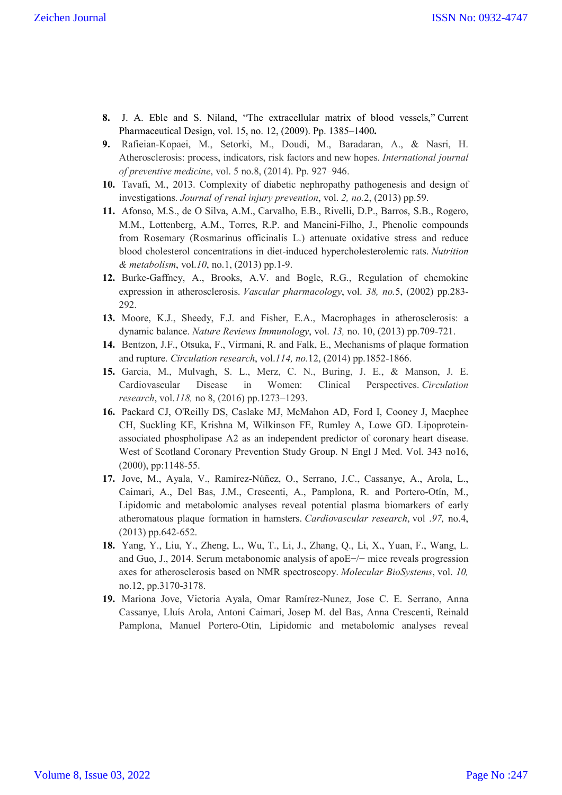- **8.** J. A. Eble and S. Niland, "The extracellular matrix of blood vessels," Current Pharmaceutical Design, vol. 15, no. 12, (2009). Pp. 1385–1400**.**
- **9.** Rafieian-Kopaei, M., Setorki, M., Doudi, M., Baradaran, A., & Nasri, H. Atherosclerosis: process, indicators, risk factors and new hopes. *International journal of preventive medicine*, vol. 5 no.8, (2014). Pp. 927–946.
- **10.** Tavafi, M., 2013. Complexity of diabetic nephropathy pathogenesis and design of investigations. *Journal of renal injury prevention*, vol. *2, no.*2, (2013) pp.59.
- **11.** Afonso, M.S., de O Silva, A.M., Carvalho, E.B., Rivelli, D.P., Barros, S.B., Rogero, M.M., Lottenberg, A.M., Torres, R.P. and Mancini-Filho, J., Phenolic compounds from Rosemary (Rosmarinus officinalis L.) attenuate oxidative stress and reduce blood cholesterol concentrations in diet-induced hypercholesterolemic rats. *Nutrition & metabolism*, vol.*10*, no.1, (2013) pp.1-9.
- **12.** Burke-Gaffney, A., Brooks, A.V. and Bogle, R.G., Regulation of chemokine expression in atherosclerosis. *Vascular pharmacology*, vol. *38, no.*5, (2002) pp.283- 292.
- **13.** Moore, K.J., Sheedy, F.J. and Fisher, E.A., Macrophages in atherosclerosis: a dynamic balance. *Nature Reviews Immunology*, vol. *13,* no. 10, (2013) pp.709-721.
- **14.** Bentzon, J.F., Otsuka, F., Virmani, R. and Falk, E., Mechanisms of plaque formation and rupture. *Circulation research*, vol.*114, no.*12, (2014) pp.1852-1866.
- **15.** Garcia, M., Mulvagh, S. L., Merz, C. N., Buring, J. E., & Manson, J. E. Cardiovascular Disease in Women: Clinical Perspectives. *Circulation research*, vol.*118,* no 8, (2016) pp.1273–1293.
- **16.** Packard CJ, O'Reilly DS, Caslake MJ, McMahon AD, Ford I, Cooney J, Macphee CH, Suckling KE, Krishna M, Wilkinson FE, Rumley A, Lowe GD. Lipoproteinassociated phospholipase A2 as an independent predictor of coronary heart disease. West of Scotland Coronary Prevention Study Group. N Engl J Med. Vol. 343 no16, (2000), pp:1148-55.
- **17.** Jove, M., Ayala, V., Ramírez-Núñez, O., Serrano, J.C., Cassanye, A., Arola, L., Caimari, A., Del Bas, J.M., Crescenti, A., Pamplona, R. and Portero-Otín, M., Lipidomic and metabolomic analyses reveal potential plasma biomarkers of early atheromatous plaque formation in hamsters. *Cardiovascular research*, vol .*97,* no.4, (2013) pp.642-652.
- **18.** Yang, Y., Liu, Y., Zheng, L., Wu, T., Li, J., Zhang, Q., Li, X., Yuan, F., Wang, L. and Guo, J., 2014. Serum metabonomic analysis of apoE−/− mice reveals progression axes for atherosclerosis based on NMR spectroscopy. *Molecular BioSystems*, vol. *10,* no.12, pp.3170-3178.
- **19.** Mariona Jove, Victoria Ayala, Omar Ramírez-Nunez, Jose C. E. Serrano, Anna Cassanye, Lluís Arola, Antoni Caimari, Josep M. del Bas, Anna Crescenti, Reinald Pamplona, Manuel Portero-Otín, Lipidomic and metabolomic analyses reveal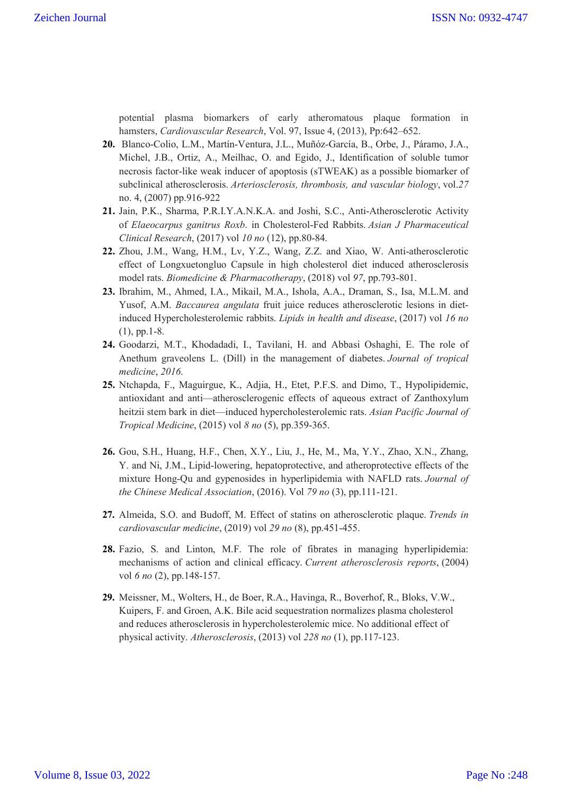potential plasma biomarkers of early atheromatous plaque formation in hamsters, *Cardiovascular Research*, Vol. 97, Issue 4, (2013), Pp:642–652.

- **20.** Blanco-Colio, L.M., Martín-Ventura, J.L., Muñóz-García, B., Orbe, J., Páramo, J.A., Michel, J.B., Ortiz, A., Meilhac, O. and Egido, J., Identification of soluble tumor necrosis factor-like weak inducer of apoptosis (sTWEAK) as a possible biomarker of subclinical atherosclerosis. *Arteriosclerosis, thrombosis, and vascular biology*, vol.*27*  no. 4, (2007) pp.916-922
- **21.** Jain, P.K., Sharma, P.R.I.Y.A.N.K.A. and Joshi, S.C., Anti-Atherosclerotic Activity of *Elaeocarpus ganitrus Roxb*. in Cholesterol-Fed Rabbits. *Asian J Pharmaceutical Clinical Research*, (2017) vol *10 no* (12), pp.80-84.
- **22.** Zhou, J.M., Wang, H.M., Lv, Y.Z., Wang, Z.Z. and Xiao, W. Anti-atherosclerotic effect of Longxuetongluo Capsule in high cholesterol diet induced atherosclerosis model rats. *Biomedicine & Pharmacotherapy*, (2018) vol *97*, pp.793-801.
- **23.** Ibrahim, M., Ahmed, I.A., Mikail, M.A., Ishola, A.A., Draman, S., Isa, M.L.M. and Yusof, A.M. *Baccaurea angulata* fruit juice reduces atherosclerotic lesions in dietinduced Hypercholesterolemic rabbits. *Lipids in health and disease*, (2017) vol *16 no*  (1), pp.1-8.
- **24.** Goodarzi, M.T., Khodadadi, I., Tavilani, H. and Abbasi Oshaghi, E. The role of Anethum graveolens L. (Dill) in the management of diabetes. *Journal of tropical medicine*, *2016*.
- **25.** Ntchapda, F., Maguirgue, K., Adjia, H., Etet, P.F.S. and Dimo, T., Hypolipidemic, antioxidant and anti—atherosclerogenic effects of aqueous extract of Zanthoxylum heitzii stem bark in diet—induced hypercholesterolemic rats. *Asian Pacific Journal of Tropical Medicine*, (2015) vol *8 no* (5), pp.359-365.
- **26.** Gou, S.H., Huang, H.F., Chen, X.Y., Liu, J., He, M., Ma, Y.Y., Zhao, X.N., Zhang, Y. and Ni, J.M., Lipid-lowering, hepatoprotective, and atheroprotective effects of the mixture Hong-Qu and gypenosides in hyperlipidemia with NAFLD rats. *Journal of the Chinese Medical Association*, (2016). Vol *79 no* (3), pp.111-121.
- **27.** Almeida, S.O. and Budoff, M. Effect of statins on atherosclerotic plaque. *Trends in cardiovascular medicine*, (2019) vol *29 no* (8), pp.451-455.
- **28.** Fazio, S. and Linton, M.F. The role of fibrates in managing hyperlipidemia: mechanisms of action and clinical efficacy. *Current atherosclerosis reports*, (2004) vol *6 no* (2), pp.148-157.
- **29.** Meissner, M., Wolters, H., de Boer, R.A., Havinga, R., Boverhof, R., Bloks, V.W., Kuipers, F. and Groen, A.K. Bile acid sequestration normalizes plasma cholesterol and reduces atherosclerosis in hypercholesterolemic mice. No additional effect of physical activity. *Atherosclerosis*, (2013) vol *228 no* (1), pp.117-123.